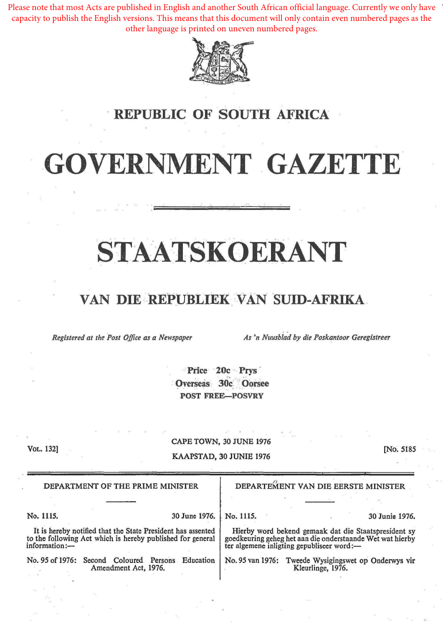Please note that most Acts are published in English and another South African official language. Currently we only have capacity to publish the English versions. This means that this document will only contain even numbered pages as the other language is printed on uneven numbered pages.



#### **REPUBLIC OF SOUTH AFRICA**

# .GOVERNMENT GAZETTE

## STAATSKOERANT

#### VAN DIE,REPUBLIEK VAN 'sUID-AFRIKA .

. . Registered at the Post Office as a Newspaper **As 'n Nuusblad by die Poskantoor Geregistreer** 

> Price 20c Prys Overseas 30c Oorsee POST FREE-POSVRY

VoL. 132]

CAPE TOWN, 30 JUNE 1976 KAAPSTAD, 30 JUNIB 1976

[No. 5185

| DEPARTMENT OF THE PRIME MINISTER                                                                                                           | DEPARTEMENT VAN DIE EERSTE MINISTER                                                                                                                            |
|--------------------------------------------------------------------------------------------------------------------------------------------|----------------------------------------------------------------------------------------------------------------------------------------------------------------|
|                                                                                                                                            |                                                                                                                                                                |
| No. 1115.<br>30 June 1976.                                                                                                                 | No. 1115.<br>30 Junie 1976.                                                                                                                                    |
| It is hereby notified that the State President has assented<br>to the following Act which is hereby published for general<br>information:- | Hierby word bekend gemaak dat die Staatspresident sy<br>goedkeuring geheg het aan die onderstaande Wet wat hierby<br>ter algemene inligting gepubliseer word:- |
| No. 95 of 1976: Second Coloured Persons<br>Education<br>Amendment Act, 1976.                                                               | No. 95 van 1976: Tweede Wysigingswet op Onderwys vir<br>Kleurlinge, 1976.                                                                                      |